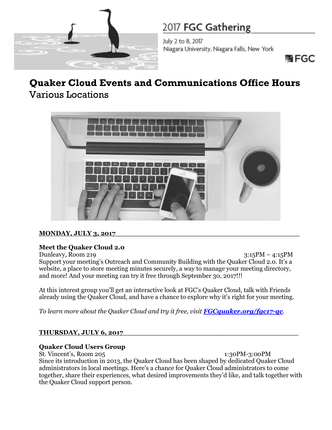

# 2017 FGC Gathering

July 2 to 8, 2017 Niagara University, Niagara Falls, New York



# **Quaker Cloud Events and Communications Office Hours** Various Locations



## **MONDAY, JULY 3, 2017\_\_\_\_\_\_\_\_\_\_\_\_\_\_\_\_\_\_\_\_\_\_\_\_\_\_\_\_\_\_\_\_\_\_\_\_\_\_\_\_\_\_**

## **Meet the Quaker Cloud 2.0**

Dunleavy, Room 219 3:15PM – 4:15PM Support your meeting's Outreach and Community Building with the Quaker Cloud 2.0. It's a website, a place to store meeting minutes securely, a way to manage your meeting directory, and more! And your meeting can try it free through September 30, 2017!!!

At this interest group you'll get an interactive look at FGC's Quaker Cloud, talk with Friends already using the Quaker Cloud, and have a chance to explore why it's right for your meeting.

*To learn more about the Quaker Cloud and try it free, visit [FGCquaker.org/fgc17-qc](https://www.fgcquaker.org/fgc17-qc).* 

#### **THURSDAY, JULY 6, 2017\_\_\_\_\_\_\_\_\_\_\_\_\_\_\_\_\_\_\_\_\_\_\_\_\_\_\_\_\_\_\_\_\_\_\_\_\_\_\_\_**

#### **Quaker Cloud Users Group**

St. Vincent's, Room 205 1:30PM-3:00PM Since its introduction in 2013, the Quaker Cloud has been shaped by dedicated Quaker Cloud administrators in local meetings. Here's a chance for Quaker Cloud administrators to come together, share their experiences, what desired improvements they'd like, and talk together with the Quaker Cloud support person.